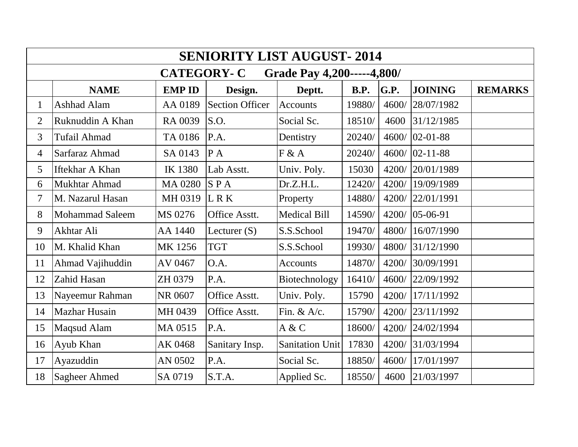| <b>SENIORITY LIST AUGUST-2014</b>               |                        |                |                        |                        |             |             |                |                |
|-------------------------------------------------|------------------------|----------------|------------------------|------------------------|-------------|-------------|----------------|----------------|
| <b>CATEGORY-C</b><br>Grade Pay 4,200-----4,800/ |                        |                |                        |                        |             |             |                |                |
|                                                 | <b>NAME</b>            | <b>EMP ID</b>  | Design.                | Deptt.                 | <b>B.P.</b> | <b>G.P.</b> | <b>JOINING</b> | <b>REMARKS</b> |
| $\mathbf 1$                                     | Ashhad Alam            | AA 0189        | <b>Section Officer</b> | Accounts               | 19880/      | 4600/       | 28/07/1982     |                |
| $\overline{2}$                                  | Ruknuddin A Khan       | RA 0039        | S.O.                   | Social Sc.             | 18510/      | 4600        | 31/12/1985     |                |
| 3                                               | <b>Tufail Ahmad</b>    | TA 0186        | P.A.                   | Dentistry              | 20240/      | 4600/       | $02 - 01 - 88$ |                |
| $\overline{4}$                                  | Sarfaraz Ahmad         | SA 0143        | PA                     | F & A                  | 20240/      | 4600/       | $02 - 11 - 88$ |                |
| 5                                               | Iftekhar A Khan        | <b>IK 1380</b> | Lab Asstt.             | Univ. Poly.            | 15030       | 4200/       | 20/01/1989     |                |
| 6                                               | Mukhtar Ahmad          | <b>MA 0280</b> | SPA                    | Dr.Z.H.L.              | 12420/      | 4200/       | 19/09/1989     |                |
| 7                                               | M. Nazarul Hasan       | MH 0319        | L R K                  | Property               | 14880/      | 4200/       | 22/01/1991     |                |
| 8                                               | <b>Mohammad Saleem</b> | MS 0276        | Office Asstt.          | <b>Medical Bill</b>    | 14590/      | 4200/       | 05-06-91       |                |
| 9                                               | Akhtar Ali             | AA 1440        | Lecturer $(S)$         | S.S.School             | 19470/      | 4800/       | 16/07/1990     |                |
| 10                                              | M. Khalid Khan         | MK 1256        | <b>TGT</b>             | S.S.School             | 19930/      | 4800/       | 31/12/1990     |                |
| 11                                              | Ahmad Vajihuddin       | AV 0467        | O.A.                   | Accounts               | 14870/      | 4200/       | 30/09/1991     |                |
| 12                                              | Zahid Hasan            | ZH 0379        | P.A.                   | Biotechnology          | 16410/      | 4600/       | 22/09/1992     |                |
| 13                                              | Nayeemur Rahman        | NR 0607        | Office Asstt.          | Univ. Poly.            | 15790       | 4200/       | 17/11/1992     |                |
| 14                                              | <b>Mazhar Husain</b>   | MH 0439        | Office Asstt.          | Fin. & $A/c$ .         | 15790/      | 4200/       | 23/11/1992     |                |
| 15                                              | Maqsud Alam            | MA 0515        | P.A.                   | A & C                  | 18600/      | 4200/       | 24/02/1994     |                |
| 16                                              | Ayub Khan              | AK 0468        | Sanitary Insp.         | <b>Sanitation Unit</b> | 17830       | 4200/       | 31/03/1994     |                |
| 17                                              | Ayazuddin              | AN 0502        | P.A.                   | Social Sc.             | 18850/      | 4600/       | 17/01/1997     |                |
| 18                                              | Sagheer Ahmed          | SA 0719        | S.T.A.                 | Applied Sc.            | 18550/      | 4600        | 21/03/1997     |                |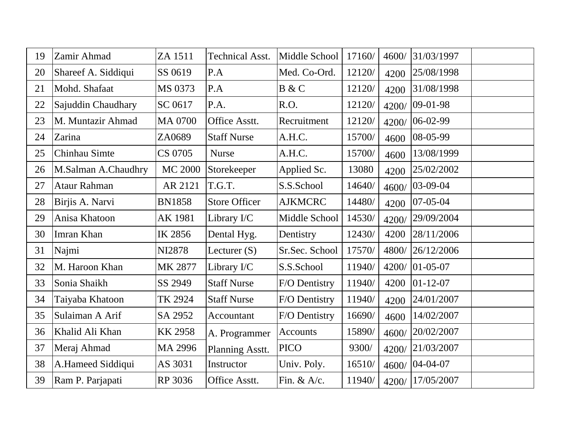| 19 | Zamir Ahmad         | ZA 1511        | <b>Technical Asst.</b> | Middle School   | 17160/ | 4600/ | 31/03/1997     |  |
|----|---------------------|----------------|------------------------|-----------------|--------|-------|----------------|--|
| 20 | Shareef A. Siddiqui | SS 0619        | P.A                    | Med. Co-Ord.    | 12120/ | 4200  | 25/08/1998     |  |
| 21 | Mohd. Shafaat       | MS 0373        | P.A                    | B & C           | 12120/ | 4200  | 31/08/1998     |  |
| 22 | Sajuddin Chaudhary  | SC 0617        | P.A.                   | R.O.            | 12120/ | 4200/ | $09-01-98$     |  |
| 23 | M. Muntazir Ahmad   | MA 0700        | Office Asstt.          | Recruitment     | 12120/ | 4200/ | 06-02-99       |  |
| 24 | Zarina              | ZA0689         | <b>Staff Nurse</b>     | A.H.C.          | 15700/ | 4600  | 08-05-99       |  |
| 25 | Chinhau Simte       | CS 0705        | <b>Nurse</b>           | A.H.C.          | 15700/ | 4600  | 13/08/1999     |  |
| 26 | M.Salman A.Chaudhry | <b>MC 2000</b> | Storekeeper            | Applied Sc.     | 13080  | 4200  | 25/02/2002     |  |
| 27 | Ataur Rahman        | AR 2121        | T.G.T.                 | S.S.School      | 14640/ | 4600/ | 03-09-04       |  |
| 28 | Birjis A. Narvi     | <b>BN1858</b>  | <b>Store Officer</b>   | <b>AJKMCRC</b>  | 14480/ | 4200  | $07 - 05 - 04$ |  |
| 29 | Anisa Khatoon       | AK 1981        | Library I/C            | Middle School   | 14530/ | 4200/ | 29/09/2004     |  |
| 30 | Imran Khan          | IK 2856        | Dental Hyg.            | Dentistry       | 12430/ | 4200  | 28/11/2006     |  |
| 31 | Najmi               | NI2878         | Lecturer $(S)$         | Sr.Sec. School  | 17570/ | 4800/ | 26/12/2006     |  |
| 32 | M. Haroon Khan      | MK 2877        | Library I/C            | S.S.School      | 11940/ | 4200/ | $ 01-05-07$    |  |
| 33 | Sonia Shaikh        | SS 2949        | <b>Staff Nurse</b>     | F/O Dentistry   | 11940/ | 4200  | $ 01-12-07$    |  |
| 34 | Taiyaba Khatoon     | TK 2924        | <b>Staff Nurse</b>     | F/O Dentistry   | 11940/ | 4200  | 24/01/2007     |  |
| 35 | Sulaiman A Arif     | SA 2952        | Accountant             | F/O Dentistry   | 16690/ | 4600  | 14/02/2007     |  |
| 36 | Khalid Ali Khan     | <b>KK2958</b>  | A. Programmer          | <b>Accounts</b> | 15890/ | 4600/ | 20/02/2007     |  |
| 37 | Meraj Ahmad         | MA 2996        | Planning Asstt.        | <b>PICO</b>     | 9300/  | 4200/ | 21/03/2007     |  |
| 38 | A.Hameed Siddiqui   | AS 3031        | Instructor             | Univ. Poly.     | 16510/ | 4600/ | $ 04-04-07$    |  |
| 39 | Ram P. Parjapati    | RP 3036        | Office Asstt.          | Fin. & $A/c$ .  | 11940/ | 4200/ | 17/05/2007     |  |